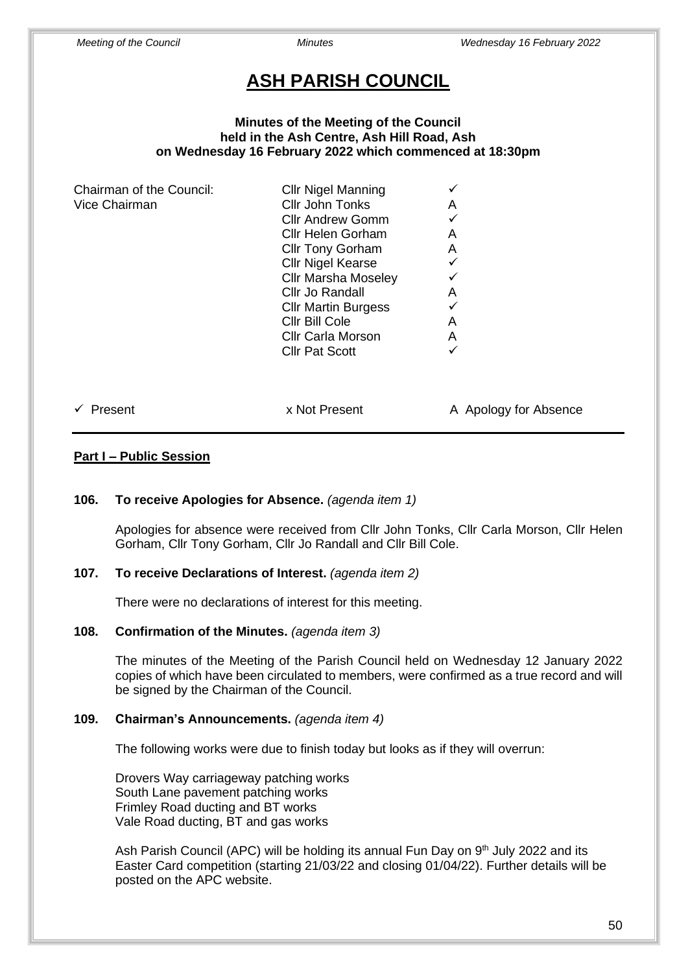# **ASH PARISH COUNCIL**

### **Minutes of the Meeting of the Council held in the Ash Centre, Ash Hill Road, Ash on Wednesday 16 February 2022 which commenced at 18:30pm**

| Chairman of the Council: | <b>Cllr Nigel Manning</b>  |                       |
|--------------------------|----------------------------|-----------------------|
| Vice Chairman            | Cllr John Tonks            | A                     |
|                          | <b>Cllr Andrew Gomm</b>    |                       |
|                          | Cllr Helen Gorham          | A                     |
|                          | <b>Cllr Tony Gorham</b>    | A                     |
|                          | <b>Cllr Nigel Kearse</b>   |                       |
|                          | <b>Cllr Marsha Moseley</b> |                       |
|                          | Cllr Jo Randall            | A                     |
|                          | <b>CIIr Martin Burgess</b> |                       |
|                          | Cllr Bill Cole             | A                     |
|                          | <b>Cllr Carla Morson</b>   | A                     |
|                          | <b>Cllr Pat Scott</b>      | ✓                     |
|                          |                            |                       |
| Present                  | x Not Present              | A Apology for Absence |

# **Part I – Public Session**

# **106. To receive Apologies for Absence.** *(agenda item 1)*

Apologies for absence were received from Cllr John Tonks, Cllr Carla Morson, Cllr Helen Gorham, Cllr Tony Gorham, Cllr Jo Randall and Cllr Bill Cole.

# **107. To receive Declarations of Interest.** *(agenda item 2)*

There were no declarations of interest for this meeting.

### **108. Confirmation of the Minutes.** *(agenda item 3)*

The minutes of the Meeting of the Parish Council held on Wednesday 12 January 2022 copies of which have been circulated to members, were confirmed as a true record and will be signed by the Chairman of the Council.

# **109. Chairman's Announcements.** *(agenda item 4)*

The following works were due to finish today but looks as if they will overrun:

Drovers Way carriageway patching works South Lane pavement patching works Frimley Road ducting and BT works Vale Road ducting, BT and gas works

Ash Parish Council (APC) will be holding its annual Fun Day on 9<sup>th</sup> July 2022 and its Easter Card competition (starting 21/03/22 and closing 01/04/22). Further details will be posted on the APC website.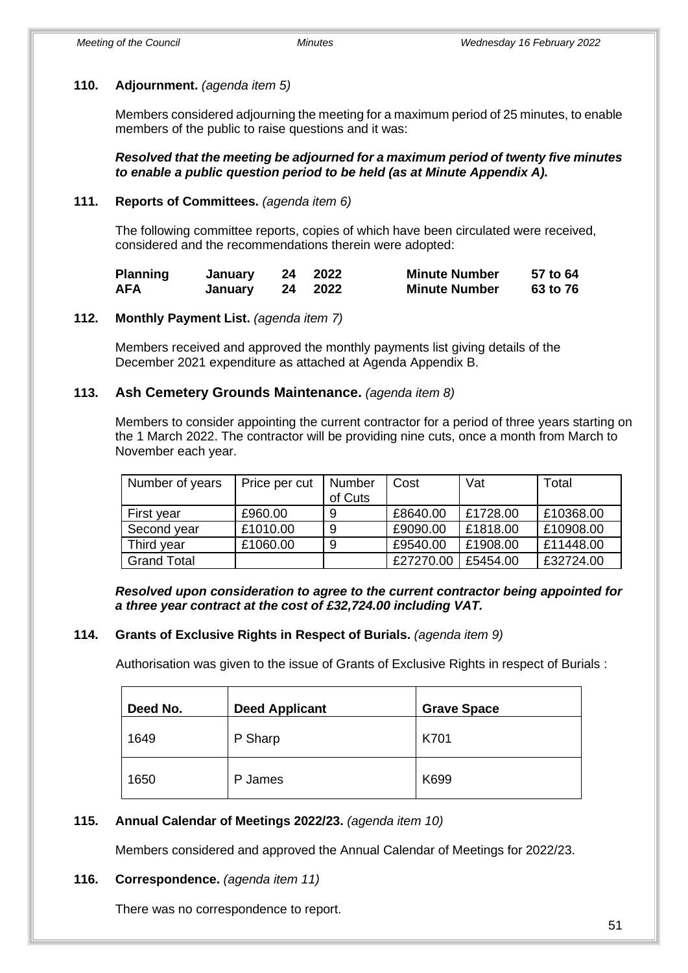# **110. Adjournment.** *(agenda item 5)*

Members considered adjourning the meeting for a maximum period of 25 minutes, to enable members of the public to raise questions and it was:

*Resolved that the meeting be adjourned for a maximum period of twenty five minutes to enable a public question period to be held (as at Minute Appendix A).*

### **111. Reports of Committees.** *(agenda item 6)*

The following committee reports, copies of which have been circulated were received, considered and the recommendations therein were adopted:

| <b>Planning</b> | January | 24 | 2022 | <b>Minute Number</b> | 57 to 64 |
|-----------------|---------|----|------|----------------------|----------|
| <b>AFA</b>      | January | 24 | 2022 | <b>Minute Number</b> | 63 to 76 |

### **112. Monthly Payment List.** *(agenda item 7)*

Members received and approved the monthly payments list giving details of the December 2021 expenditure as attached at Agenda Appendix B.

### **113. Ash Cemetery Grounds Maintenance.** *(agenda item 8)*

Members to consider appointing the current contractor for a period of three years starting on the 1 March 2022. The contractor will be providing nine cuts, once a month from March to November each year.

| Number of years    | Price per cut | Number<br>of Cuts | Cost      | Vat      | Total     |
|--------------------|---------------|-------------------|-----------|----------|-----------|
| First year         | £960.00       | 9                 | £8640.00  | £1728.00 | £10368.00 |
| Second year        | £1010.00      | 9                 | £9090.00  | £1818.00 | £10908.00 |
| Third year         | £1060.00      | 9                 | £9540.00  | £1908.00 | £11448.00 |
| <b>Grand Total</b> |               |                   | £27270.00 | £5454.00 | £32724.00 |

*Resolved upon consideration to agree to the current contractor being appointed for a three year contract at the cost of £32,724.00 including VAT.*

#### **114. Grants of Exclusive Rights in Respect of Burials.** *(agenda item 9)*

Authorisation was given to the issue of Grants of Exclusive Rights in respect of Burials :

| Deed No. | <b>Deed Applicant</b> | <b>Grave Space</b> |
|----------|-----------------------|--------------------|
| 1649     | P Sharp               | K701               |
| 1650     | P James               | K699               |

# **115. Annual Calendar of Meetings 2022/23.** *(agenda item 10)*

Members considered and approved the Annual Calendar of Meetings for 2022/23.

# **116. Correspondence.** *(agenda item 11)*

There was no correspondence to report.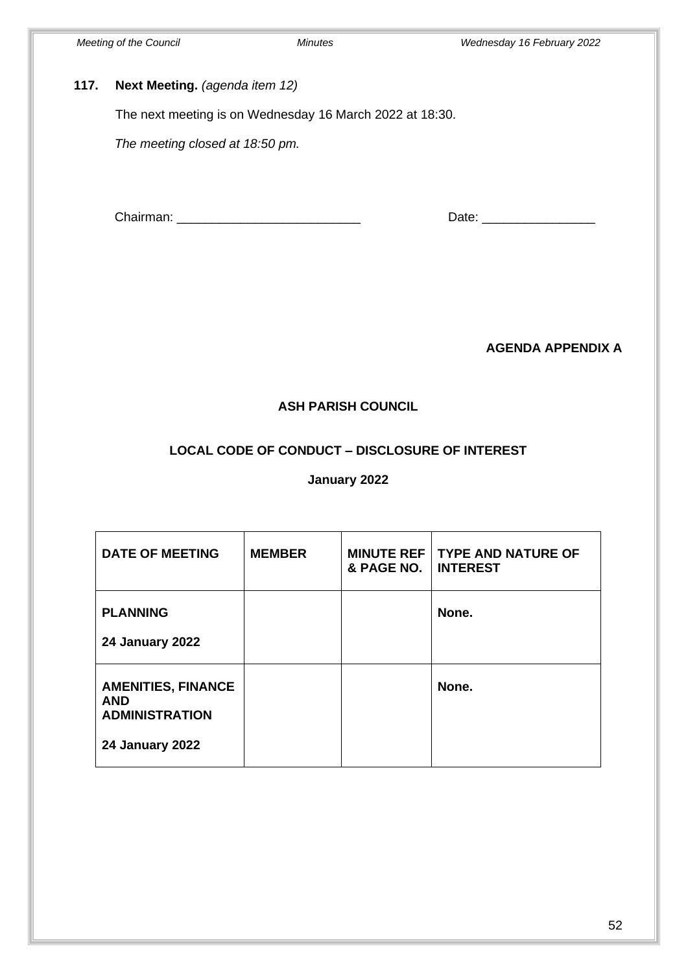# **117. Next Meeting.** *(agenda item 12)*

The next meeting is on Wednesday 16 March 2022 at 18:30.

*The meeting closed at 18:50 pm.*

Chairman: \_\_\_\_\_\_\_\_\_\_\_\_\_\_\_\_\_\_\_\_\_\_\_\_\_\_ Date: \_\_\_\_\_\_\_\_\_\_\_\_\_\_\_\_

**AGENDA APPENDIX A** 

# **ASH PARISH COUNCIL**

# **LOCAL CODE OF CONDUCT – DISCLOSURE OF INTEREST**

# **January 2022**

| <b>DATE OF MEETING</b>                                                                     | <b>MEMBER</b> | <b>MINUTE REF</b><br>& PAGE NO. | <b>TYPE AND NATURE OF</b><br><b>INTEREST</b> |
|--------------------------------------------------------------------------------------------|---------------|---------------------------------|----------------------------------------------|
| <b>PLANNING</b><br><b>24 January 2022</b>                                                  |               |                                 | None.                                        |
| <b>AMENITIES, FINANCE</b><br><b>AND</b><br><b>ADMINISTRATION</b><br><b>24 January 2022</b> |               |                                 | None.                                        |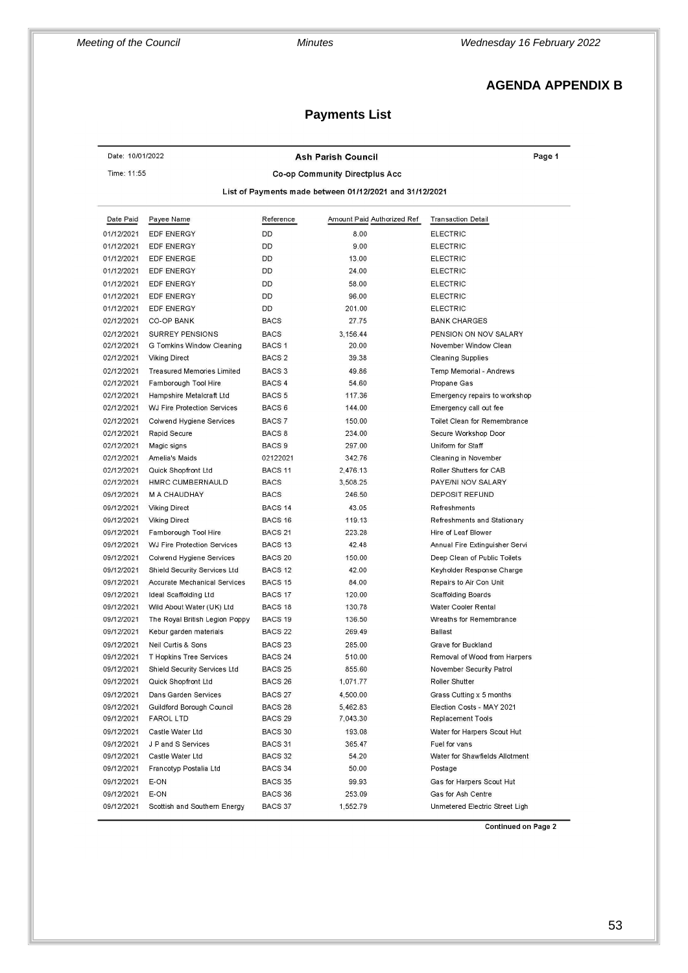# **AGENDA APPENDIX B**

# **Payments List**

| Date: 10/01/2022                                        |                                     |                    | <b>Ash Parish Council</b>  | Page 1                         |  |  |  |  |
|---------------------------------------------------------|-------------------------------------|--------------------|----------------------------|--------------------------------|--|--|--|--|
| Time: 11:55<br>Co-op Community Directplus Acc           |                                     |                    |                            |                                |  |  |  |  |
| List of Payments made between 01/12/2021 and 31/12/2021 |                                     |                    |                            |                                |  |  |  |  |
|                                                         |                                     |                    |                            |                                |  |  |  |  |
| Date Paid                                               | Payee Name                          | Reference          | Amount Paid Authorized Ref | <b>Transaction Detail</b>      |  |  |  |  |
| 01/12/2021                                              | <b>EDF ENERGY</b>                   | DD                 | 8.00                       | <b>ELECTRIC</b>                |  |  |  |  |
| 01/12/2021                                              | EDF ENERGY                          | DD                 | 9.00                       | <b>ELECTRIC</b>                |  |  |  |  |
| 01/12/2021                                              | <b>EDF ENERGE</b>                   | DD                 | 13.00                      | <b>ELECTRIC</b>                |  |  |  |  |
| 01/12/2021                                              | EDF ENERGY                          | DD                 | 24.00                      | <b>ELECTRIC</b>                |  |  |  |  |
| 01/12/2021                                              | <b>EDF ENERGY</b>                   | DD                 | 58.00                      | <b>ELECTRIC</b>                |  |  |  |  |
| 01/12/2021                                              | <b>EDF ENERGY</b>                   | DD                 | 96.00                      | <b>ELECTRIC</b>                |  |  |  |  |
| 01/12/2021                                              | <b>EDF ENERGY</b>                   | DD                 | 201.00                     | <b>ELECTRIC</b>                |  |  |  |  |
| 02/12/2021                                              | CO-OP BANK                          | <b>BACS</b>        | 27.75                      | <b>BANK CHARGES</b>            |  |  |  |  |
| 02/12/2021                                              | SURREY PENSIONS                     | <b>BACS</b>        | 3,156.44                   | PENSION ON NOV SALARY          |  |  |  |  |
| 02/12/2021                                              | G Tomkins Window Cleaning           | BACS <sub>1</sub>  | 20.00                      | November Window Clean          |  |  |  |  |
| 02/12/2021                                              | <b>Viking Direct</b>                | BACS <sub>2</sub>  | 39.38                      | <b>Cleaning Supplies</b>       |  |  |  |  |
| 02/12/2021                                              | <b>Treasured Memories Limited</b>   | BACS <sub>3</sub>  | 49.86                      | Temp Memorial - Andrews        |  |  |  |  |
| 02/12/2021                                              | Farnborough Tool Hire               | BACS 4             | 54.60                      | Propane Gas                    |  |  |  |  |
| 02/12/2021                                              | Hampshire Metalcraft Ltd            | BACS <sub>5</sub>  | 117.36                     | Emergency repairs to workshop  |  |  |  |  |
| 02/12/2021                                              | <b>WJ Fire Protection Services</b>  | BACS <sub>6</sub>  | 144.00                     | Emergency call out fee         |  |  |  |  |
| 02/12/2021                                              | Colwend Hygiene Services            | BACS 7             | 150.00                     | Toilet Clean for Remembrance   |  |  |  |  |
| 02/12/2021                                              | Rapid Secure                        | BACS <sub>8</sub>  | 234.00                     | Secure Workshop Door           |  |  |  |  |
| 02/12/2021                                              | Magic signs                         | BACS <sub>9</sub>  | 297.00                     | Uniform for Staff              |  |  |  |  |
| 02/12/2021                                              | <b>Amelia's Maids</b>               | 02122021           | 342.76                     | Cleaning in November           |  |  |  |  |
| 02/12/2021                                              | Quick Shopfront Ltd                 | BACS <sub>11</sub> | 2,476.13                   | Roller Shutters for CAB        |  |  |  |  |
| 02/12/2021                                              | HMRC CUMBERNAULD                    | <b>BACS</b>        | 3,508.25                   | PAYE/NI NOV SALARY             |  |  |  |  |
| 09/12/2021                                              | <b>M A CHAUDHAY</b>                 | <b>BACS</b>        | 246.50                     | <b>DEPOSIT REFUND</b>          |  |  |  |  |
| 09/12/2021                                              | <b>Viking Direct</b>                | BACS <sub>14</sub> | 43.05                      | Refreshments                   |  |  |  |  |
| 09/12/2021                                              | <b>Viking Direct</b>                | BACS <sub>16</sub> | 119.13                     | Refreshments and Stationary    |  |  |  |  |
| 09/12/2021                                              | Farnborough Tool Hire               | BACS <sub>21</sub> | 223.28                     | Hire of Leaf Blower            |  |  |  |  |
| 09/12/2021                                              | <b>WJ Fire Protection Services</b>  | BACS <sub>13</sub> | 42.48                      | Annual Fire Extinguisher Servi |  |  |  |  |
|                                                         |                                     |                    |                            |                                |  |  |  |  |
| 09/12/2021                                              | Colwend Hygiene Services            | BACS 20            | 150.00                     | Deep Clean of Public Toilets   |  |  |  |  |
| 09/12/2021                                              | Shield Security Services Ltd        | BACS <sub>12</sub> | 42.00                      | Keyholder Response Charge      |  |  |  |  |
| 09/12/2021                                              | <b>Accurate Mechanical Services</b> | BACS <sub>15</sub> | 84.00                      | Repairs to Air Con Unit        |  |  |  |  |
| 09/12/2021                                              | Ideal Scaffolding Ltd               | BACS 17            | 120.00                     | <b>Scaffolding Boards</b>      |  |  |  |  |
| 09/12/2021                                              | Wild About Water (UK) Ltd           | BACS <sub>18</sub> | 130.78                     | Water Cooler Rental            |  |  |  |  |
| 09/12/2021                                              | The Royal British Legion Poppy      | BACS 19            | 136.50                     | Wreaths for Remembrance        |  |  |  |  |
| 09/12/2021                                              | Kebur garden materials              | BACS <sub>22</sub> | 269.49                     | <b>Ballast</b>                 |  |  |  |  |
| 09/12/2021                                              | Neil Curtis & Sons                  | BACS <sub>23</sub> | 285.00                     | Grave for Buckland             |  |  |  |  |
| 09/12/2021                                              | <b>T Hopkins Tree Services</b>      | BACS <sub>24</sub> | 510.00                     | Removal of Wood from Harpers   |  |  |  |  |
| 09/12/2021                                              | Shield Security Services Ltd        | BACS <sub>25</sub> | 855.60                     | November Security Patrol       |  |  |  |  |
| 09/12/2021                                              | Quick Shopfront Ltd                 | BACS <sub>26</sub> | 1,071.77                   | Roller Shutter                 |  |  |  |  |
| 09/12/2021                                              | Dans Garden Services                | BACS <sub>27</sub> | 4,500.00                   | Grass Cutting x 5 months       |  |  |  |  |
| 09/12/2021                                              | Guildford Borough Council           | BACS <sub>28</sub> | 5,462.83                   | Election Costs - MAY 2021      |  |  |  |  |
| 09/12/2021                                              | <b>FAROL LTD</b>                    | BACS <sub>29</sub> | 7,043.30                   | Replacement Tools              |  |  |  |  |
| 09/12/2021                                              | Castle Water Ltd                    | BACS 30            | 193.08                     | Water for Harpers Scout Hut    |  |  |  |  |
| 09/12/2021                                              | J P and S Services                  | BACS 31            | 365.47                     | Fuel for vans                  |  |  |  |  |
| 09/12/2021                                              | Castle Water Ltd                    | BACS 32            | 54.20                      | Water for Shawfields Allotment |  |  |  |  |
| 09/12/2021                                              | Francotyp Postalia Ltd              | BACS 34            | 50.00                      | Postage                        |  |  |  |  |
| 09/12/2021                                              | E-ON                                | BACS 35            | 99.93                      | Gas for Harpers Scout Hut      |  |  |  |  |
| 09/12/2021                                              | E-ON                                | BACS 36            | 253.09                     | Gas for Ash Centre             |  |  |  |  |
|                                                         | Scottish and Southern Energy        | BACS 37            | 1,552.79                   | Unmetered Electric Street Ligh |  |  |  |  |

**Continued on Page 2**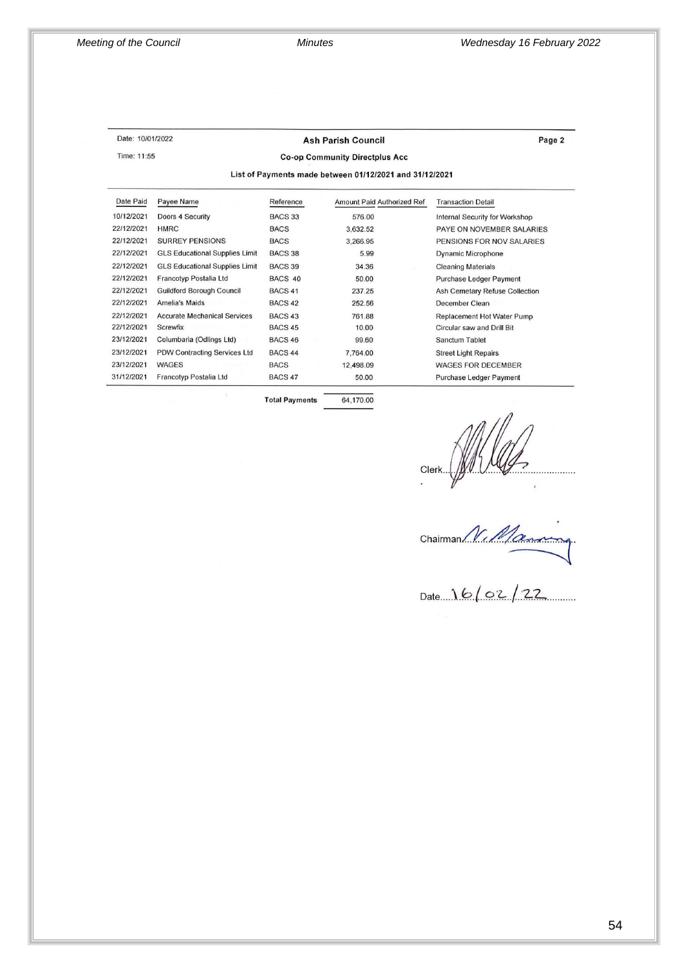Time: 11:55

#### Date: 10/01/2022

### **Ash Parish Council**

Page 2

**Co-op Community Directplus Acc** 

List of Payments made between 01/12/2021 and 31/12/2021

| Date Paid  | Payee Name                            | Reference          | Amount Paid Authorized Ref | <b>Transaction Detail</b>      |
|------------|---------------------------------------|--------------------|----------------------------|--------------------------------|
| 10/12/2021 | Doors 4 Security                      | <b>BACS 33</b>     | 576.00                     | Internal Security for Workshop |
| 22/12/2021 | <b>HMRC</b>                           | <b>BACS</b>        | 3,632.52                   | PAYE ON NOVEMBER SALARIES      |
| 22/12/2021 | <b>SURREY PENSIONS</b>                | <b>BACS</b>        | 3.266.95                   | PENSIONS FOR NOV SALARIES      |
| 22/12/2021 | <b>GLS Educational Supplies Limit</b> | BACS 38            | 5.99                       | <b>Dynamic Microphone</b>      |
| 22/12/2021 | <b>GLS Educational Supplies Limit</b> | BACS 39            | 34.36                      | <b>Cleaning Materials</b>      |
| 22/12/2021 | Francotyp Postalia Ltd                | BACS 40            | 50.00                      | <b>Purchase Ledger Payment</b> |
| 22/12/2021 | <b>Guildford Borough Council</b>      | BACS <sub>41</sub> | 237.25                     | Ash Cemetary Refuse Collection |
| 22/12/2021 | <b>Amelia's Maids</b>                 | BACS <sub>42</sub> | 252.56                     | December Clean                 |
| 22/12/2021 | <b>Accurate Mechanical Services</b>   | BACS <sub>43</sub> | 761.88                     | Replacement Hot Water Pump     |
| 22/12/2021 | Screwfix                              | <b>BACS 45</b>     | 10.00                      | Circular saw and Drill Bit     |
| 23/12/2021 | Columbaria (Odlings Ltd)              | BACS <sub>46</sub> | 99.60                      | Sanctum Tablet                 |
| 23/12/2021 | PDW Contracting Services Ltd          | BACS <sub>44</sub> | 7,764.00                   | <b>Street Light Repairs</b>    |
| 23/12/2021 | WAGES                                 | <b>BACS</b>        | 12,498.09                  | <b>WAGES FOR DECEMBER</b>      |
| 31/12/2021 | Francotyp Postalia Ltd                | BACS <sub>47</sub> | 50.00                      | Purchase Ledger Payment        |

**Total Payments** 64,170.00

Date 16/02/22